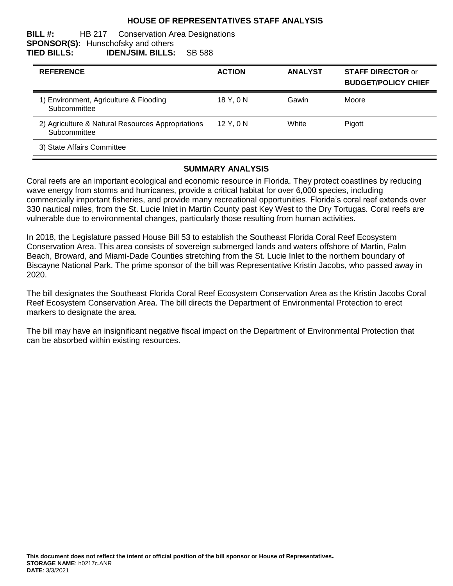## **HOUSE OF REPRESENTATIVES STAFF ANALYSIS**

#### **BILL #:** HB 217 Conservation Area Designations **SPONSOR(S):** Hunschofsky and others **TIED BILLS: IDEN./SIM. BILLS:** SB 588

| <b>REFERENCE</b>                                                  | <b>ACTION</b> | <b>ANALYST</b> | <b>STAFF DIRECTOR or</b><br><b>BUDGET/POLICY CHIEF</b> |
|-------------------------------------------------------------------|---------------|----------------|--------------------------------------------------------|
| 1) Environment, Agriculture & Flooding<br>Subcommittee            | 18 Y.ON       | Gawin          | Moore                                                  |
| 2) Agriculture & Natural Resources Appropriations<br>Subcommittee | 12Y.0N        | White          | Pigott                                                 |
| 3) State Affairs Committee                                        |               |                |                                                        |

#### **SUMMARY ANALYSIS**

Coral reefs are an important ecological and economic resource in Florida. They protect coastlines by reducing wave energy from storms and hurricanes, provide a critical habitat for over 6,000 species, including commercially important fisheries, and provide many recreational opportunities. Florida's coral reef extends over 330 nautical miles, from the St. Lucie Inlet in Martin County past Key West to the Dry Tortugas. Coral reefs are vulnerable due to environmental changes, particularly those resulting from human activities.

In 2018, the Legislature passed House Bill 53 to establish the Southeast Florida Coral Reef Ecosystem Conservation Area. This area consists of sovereign submerged lands and waters offshore of Martin, Palm Beach, Broward, and Miami-Dade Counties stretching from the St. Lucie Inlet to the northern boundary of Biscayne National Park. The prime sponsor of the bill was Representative Kristin Jacobs, who passed away in 2020.

The bill designates the Southeast Florida Coral Reef Ecosystem Conservation Area as the Kristin Jacobs Coral Reef Ecosystem Conservation Area. The bill directs the Department of Environmental Protection to erect markers to designate the area.

The bill may have an insignificant negative fiscal impact on the Department of Environmental Protection that can be absorbed within existing resources.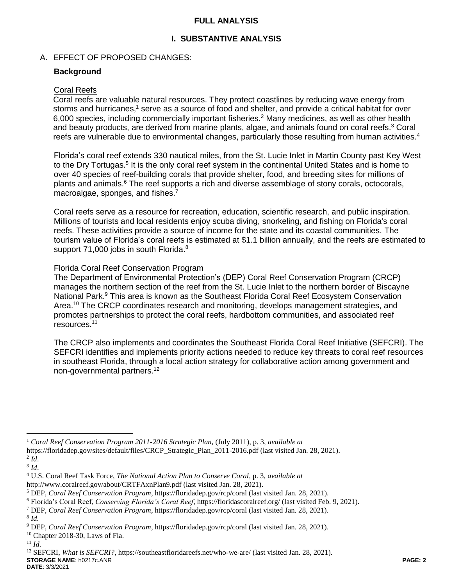# **FULL ANALYSIS**

# **I. SUBSTANTIVE ANALYSIS**

# A. EFFECT OF PROPOSED CHANGES:

## **Background**

#### Coral Reefs

Coral reefs are valuable natural resources. They protect coastlines by reducing wave energy from storms and hurricanes,<sup>1</sup> serve as a source of food and shelter, and provide a critical habitat for over 6,000 species, including commercially important fisheries.<sup>2</sup> Many medicines, as well as other health and beauty products, are derived from marine plants, algae, and animals found on coral reefs. <sup>3</sup> Coral reefs are vulnerable due to environmental changes, particularly those resulting from human activities.<sup>4</sup>

Florida's coral reef extends 330 nautical miles, from the St. Lucie Inlet in Martin County past Key West to the Dry Tortugas.<sup>5</sup> It is the only coral reef system in the continental United States and is home to over 40 species of reef-building corals that provide shelter, food, and breeding sites for millions of plants and animals.<sup>6</sup> The reef supports a rich and diverse assemblage of stony corals, octocorals, macroalgae, sponges, and fishes.<sup>7</sup>

Coral reefs serve as a resource for recreation, education, scientific research, and public inspiration. Millions of tourists and local residents enjoy scuba diving, snorkeling, and fishing on Florida's coral reefs. These activities provide a source of income for the state and its coastal communities. The tourism value of Florida's coral reefs is estimated at \$1.1 billion annually, and the reefs are estimated to support 71,000 jobs in south Florida.<sup>8</sup>

### Florida Coral Reef Conservation Program

The Department of Environmental Protection's (DEP) Coral Reef Conservation Program (CRCP) manages the northern section of the reef from the St. Lucie Inlet to the northern border of Biscayne National Park.<sup>9</sup> This area is known as the Southeast Florida Coral Reef Ecosystem Conservation Area.<sup>10</sup> The CRCP coordinates research and monitoring, develops management strategies, and promotes partnerships to protect the coral reefs, hardbottom communities, and associated reef resources. 11

The CRCP also implements and coordinates the Southeast Florida Coral Reef Initiative (SEFCRI). The SEFCRI identifies and implements priority actions needed to reduce key threats to coral reef resources in southeast Florida, through a local action strategy for collaborative action among government and non-governmental partners.<sup>12</sup>

 $\overline{a}$ 

<sup>1</sup> *Coral Reef Conservation Program 2011-2016 Strategic Plan,* (July 2011), p. 3, *available at*

https://floridadep.gov/sites/default/files/CRCP\_Strategic\_Plan\_2011-2016.pdf (last visited Jan. 28, 2021).

<sup>2</sup> *Id*.

<sup>3</sup> *Id*.

<sup>4</sup> U.S. Coral Reef Task Force, *The National Action Plan to Conserve Coral*, p. 3, *available at*

http://www.coralreef.gov/about/CRTFAxnPlan9.pdf (last visited Jan. 28, 2021).

<sup>5</sup> DEP, *Coral Reef Conservation Program*, https://floridadep.gov/rcp/coral (last visited Jan. 28, 2021).

<sup>6</sup> Florida's Coral Reef, *Conserving Florida's Coral Reef*, https://floridascoralreef.org/ (last visited Feb. 9, 2021).

<sup>7</sup> DEP, *Coral Reef Conservation Program*, https://floridadep.gov/rcp/coral (last visited Jan. 28, 2021).

<sup>8</sup> *Id.* 

<sup>9</sup> DEP, *Coral Reef Conservation Program*, https://floridadep.gov/rcp/coral (last visited Jan. 28, 2021).

 $10$  Chapter 2018-30, Laws of Fla.

<sup>11</sup> *Id*.

**STORAGE NAME**: h0217c.ANR **PAGE: 2** <sup>12</sup> SEFCRI, *What is SEFCRI?*, https://southeastfloridareefs.net/who-we-are/ (last visited Jan. 28, 2021).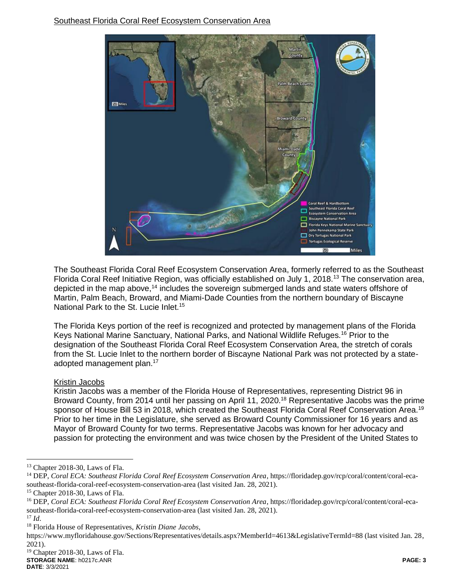

The Southeast Florida Coral Reef Ecosystem Conservation Area, formerly referred to as the Southeast Florida Coral Reef Initiative Region, was officially established on July 1, 2018.<sup>13</sup> The conservation area, depicted in the map above,<sup>14</sup> includes the sovereign submerged lands and state waters offshore of Martin, Palm Beach, Broward, and Miami-Dade Counties from the northern boundary of Biscayne National Park to the St. Lucie Inlet.<sup>15</sup>

The Florida Keys portion of the reef is recognized and protected by management plans of the Florida Keys National Marine Sanctuary, National Parks, and National Wildlife Refuges.<sup>16</sup> Prior to the designation of the Southeast Florida Coral Reef Ecosystem Conservation Area, the stretch of corals from the St. Lucie Inlet to the northern border of Biscayne National Park was not protected by a stateadopted management plan.<sup>17</sup>

# Kristin Jacobs

Kristin Jacobs was a member of the Florida House of Representatives, representing District 96 in Broward County, from 2014 until her passing on April 11, 2020.<sup>18</sup> Representative Jacobs was the prime sponsor of House Bill 53 in 2018, which created the Southeast Florida Coral Reef Conservation Area.<sup>19</sup> Prior to her time in the Legislature, she served as Broward County Commissioner for 16 years and as Mayor of Broward County for two terms. Representative Jacobs was known for her advocacy and passion for protecting the environment and was twice chosen by the President of the United States to

<sup>17</sup> *Id*.

 $\overline{a}$ 

<sup>&</sup>lt;sup>13</sup> Chapter 2018-30, Laws of Fla.

<sup>&</sup>lt;sup>14</sup> DEP, *Coral ECA: Southeast Florida Coral Reef Ecosystem Conservation Area*, https://floridadep.gov/rcp/coral/content/coral-ecasoutheast-florida-coral-reef-ecosystem-conservation-area (last visited Jan. 28, 2021).

<sup>15</sup> Chapter 2018-30, Laws of Fla.

<sup>16</sup> DEP, *Coral ECA: Southeast Florida Coral Reef Ecosystem Conservation Area*, https://floridadep.gov/rcp/coral/content/coral-ecasoutheast-florida-coral-reef-ecosystem-conservation-area (last visited Jan. 28, 2021).

<sup>18</sup> Florida House of Representatives, *Kristin Diane Jacobs*,

https://www.myfloridahouse.gov/Sections/Representatives/details.aspx?MemberId=4613&LegislativeTermId=88 (last visited Jan. 28, 2021).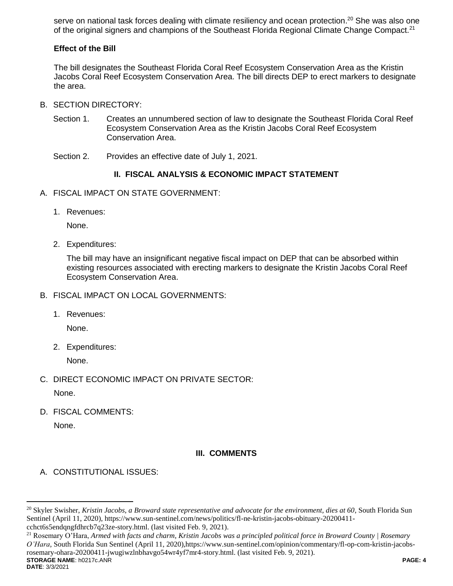serve on national task forces dealing with climate resiliency and ocean protection.<sup>20</sup> She was also one of the original signers and champions of the Southeast Florida Regional Climate Change Compact.<sup>21</sup>

# **Effect of the Bill**

The bill designates the Southeast Florida Coral Reef Ecosystem Conservation Area as the Kristin Jacobs Coral Reef Ecosystem Conservation Area. The bill directs DEP to erect markers to designate the area.

- B. SECTION DIRECTORY:
	- Section 1. Creates an unnumbered section of law to designate the Southeast Florida Coral Reef Ecosystem Conservation Area as the Kristin Jacobs Coral Reef Ecosystem Conservation Area.
	- Section 2. Provides an effective date of July 1, 2021.

# **II. FISCAL ANALYSIS & ECONOMIC IMPACT STATEMENT**

- A. FISCAL IMPACT ON STATE GOVERNMENT:
	- 1. Revenues:

None.

2. Expenditures:

The bill may have an insignificant negative fiscal impact on DEP that can be absorbed within existing resources associated with erecting markers to designate the Kristin Jacobs Coral Reef Ecosystem Conservation Area.

- B. FISCAL IMPACT ON LOCAL GOVERNMENTS:
	- 1. Revenues:

None.

2. Expenditures:

None.

C. DIRECT ECONOMIC IMPACT ON PRIVATE SECTOR:

None.

D. FISCAL COMMENTS:

None.

# **III. COMMENTS**

A. CONSTITUTIONAL ISSUES:

**STORAGE NAME**: h0217c.ANR **PAGE: 4** <sup>21</sup> Rosemary O'Hara, *Armed with facts and charm, Kristin Jacobs was a principled political force in Broward County | Rosemary O'Hara*, South Florida Sun Sentinel (April 11, 2020),https://www.sun-sentinel.com/opinion/commentary/fl-op-com-kristin-jacobsrosemary-ohara-20200411-jwugiwzlnbhavgo54wr4yf7mr4-story.html. (last visited Feb. 9, 2021).

 $\overline{a}$ 

<sup>20</sup> Skyler Swisher, *Kristin Jacobs, a Broward state representative and advocate for the environment, dies at 60*, South Florida Sun Sentinel (April 11, 2020), https://www.sun-sentinel.com/news/politics/fl-ne-kristin-jacobs-obituary-20200411 cchct6s5endqngfdhrcb7q23ze-story.html. (last visited Feb. 9, 2021).